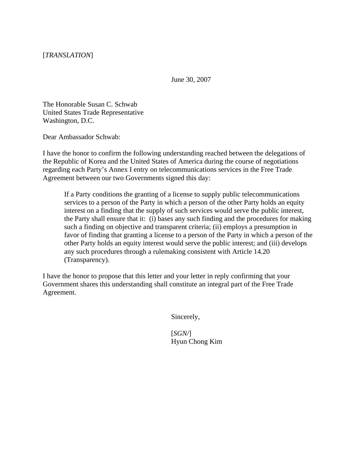June 30, 2007

The Honorable Susan C. Schwab United States Trade Representative Washington, D.C.

Dear Ambassador Schwab:

I have the honor to confirm the following understanding reached between the delegations of the Republic of Korea and the United States of America during the course of negotiations regarding each Party's Annex I entry on telecommunications services in the Free Trade Agreement between our two Governments signed this day:

If a Party conditions the granting of a license to supply public telecommunications services to a person of the Party in which a person of the other Party holds an equity interest on a finding that the supply of such services would serve the public interest, the Party shall ensure that it: (i) bases any such finding and the procedures for making such a finding on objective and transparent criteria; (ii) employs a presumption in favor of finding that granting a license to a person of the Party in which a person of the other Party holds an equity interest would serve the public interest; and (iii) develops any such procedures through a rulemaking consistent with Article 14.20 (Transparency).

I have the honor to propose that this letter and your letter in reply confirming that your Government shares this understanding shall constitute an integral part of the Free Trade Agreement.

Sincerely,

 [*SGN/*] Hyun Chong Kim